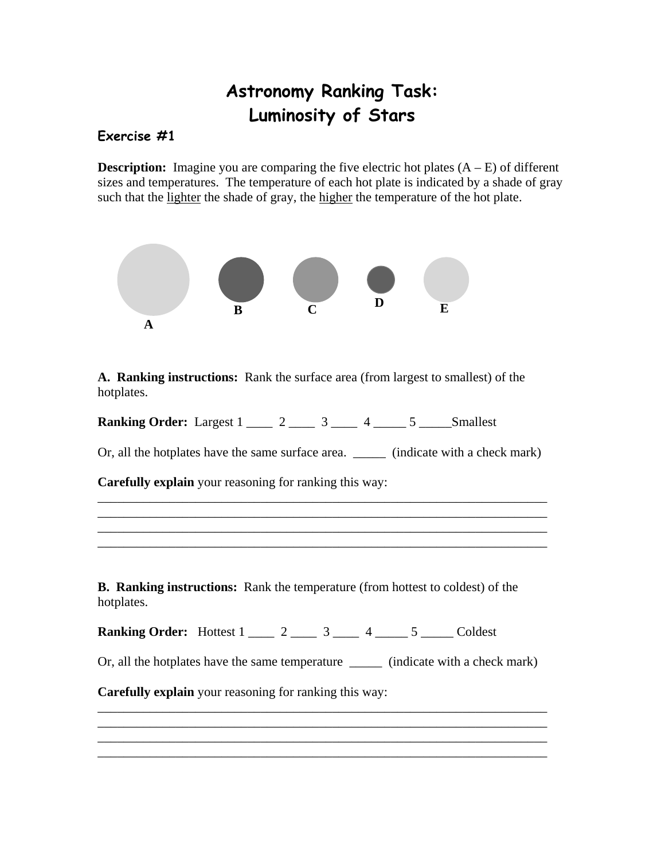## **Astronomy Ranking Task: Luminosity of Stars**

## **Exercise #1**

**Description:** Imagine you are comparing the five electric hot plates  $(A - E)$  of different sizes and temperatures. The temperature of each hot plate is indicated by a shade of gray such that the lighter the shade of gray, the higher the temperature of the hot plate.



**A. Ranking instructions:** Rank the surface area (from largest to smallest) of the hotplates.

| <b>Ranking Order: Largest 1</b> |  |  |  |  |  | Smallest |
|---------------------------------|--|--|--|--|--|----------|
|---------------------------------|--|--|--|--|--|----------|

Or, all the hotplates have the same surface area. \_\_\_\_\_ (indicate with a check mark)

\_\_\_\_\_\_\_\_\_\_\_\_\_\_\_\_\_\_\_\_\_\_\_\_\_\_\_\_\_\_\_\_\_\_\_\_\_\_\_\_\_\_\_\_\_\_\_\_\_\_\_\_\_\_\_\_\_\_\_\_\_\_\_\_\_\_\_\_\_

\_\_\_\_\_\_\_\_\_\_\_\_\_\_\_\_\_\_\_\_\_\_\_\_\_\_\_\_\_\_\_\_\_\_\_\_\_\_\_\_\_\_\_\_\_\_\_\_\_\_\_\_\_\_\_\_\_\_\_\_\_\_\_\_\_\_\_\_\_

**Carefully explain** your reasoning for ranking this way:

**B. Ranking instructions:** Rank the temperature (from hottest to coldest) of the hotplates.

**Ranking Order:** Hottest 1 \_\_\_\_ 2 \_\_\_\_ 3 \_\_\_ 4 \_\_\_\_ 5 \_\_\_\_ Coldest

Or, all the hotplates have the same temperature \_\_\_\_\_ (indicate with a check mark)

\_\_\_\_\_\_\_\_\_\_\_\_\_\_\_\_\_\_\_\_\_\_\_\_\_\_\_\_\_\_\_\_\_\_\_\_\_\_\_\_\_\_\_\_\_\_\_\_\_\_\_\_\_\_\_\_\_\_\_\_\_\_\_\_\_\_\_\_\_ \_\_\_\_\_\_\_\_\_\_\_\_\_\_\_\_\_\_\_\_\_\_\_\_\_\_\_\_\_\_\_\_\_\_\_\_\_\_\_\_\_\_\_\_\_\_\_\_\_\_\_\_\_\_\_\_\_\_\_\_\_\_\_\_\_\_\_\_\_

\_\_\_\_\_\_\_\_\_\_\_\_\_\_\_\_\_\_\_\_\_\_\_\_\_\_\_\_\_\_\_\_\_\_\_\_\_\_\_\_\_\_\_\_\_\_\_\_\_\_\_\_\_\_\_\_\_\_\_\_\_\_\_\_\_\_\_\_\_

**Carefully explain** your reasoning for ranking this way: